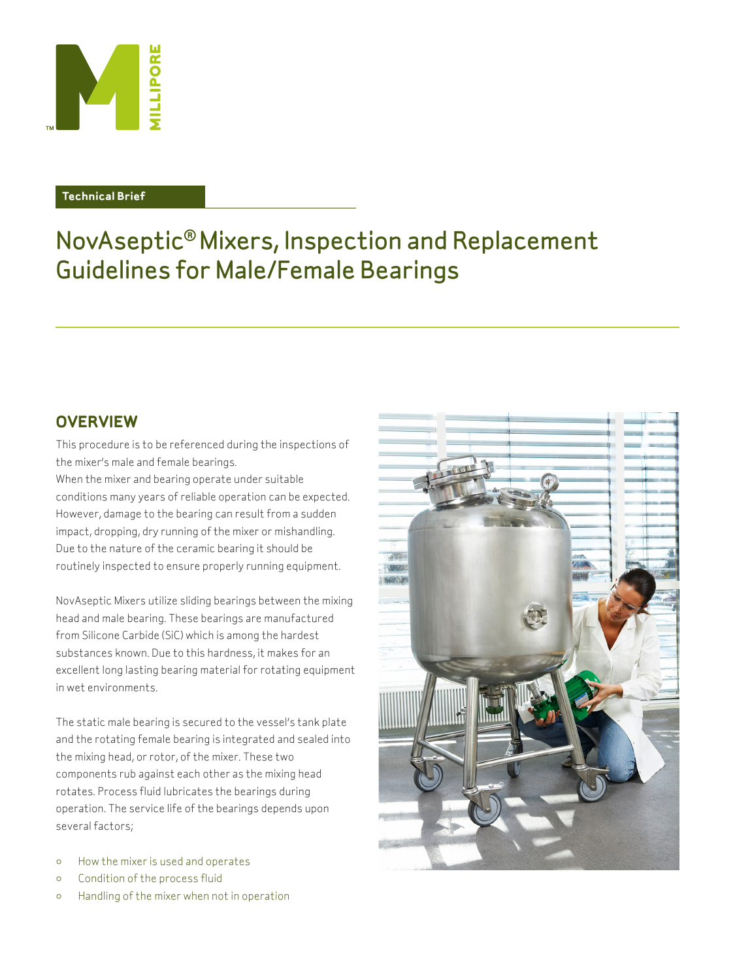

### **Technical Brief**

# NovAseptic® Mixers, Inspection and Replacement Guidelines for Male/Female Bearings

# **Overview**

This procedure is to be referenced during the inspections of the mixer's male and female bearings.

When the mixer and bearing operate under suitable conditions many years of reliable operation can be expected. However, damage to the bearing can result from a sudden impact, dropping, dry running of the mixer or mishandling. Due to the nature of the ceramic bearing it should be routinely inspected to ensure properly running equipment.

NovAseptic Mixers utilize sliding bearings between the mixing head and male bearing. These bearings are manufactured from Silicone Carbide (SiC) which is among the hardest substances known. Due to this hardness, it makes for an excellent long lasting bearing material for rotating equipment in wet environments.

The static male bearing is secured to the vessel's tank plate and the rotating female bearing is integrated and sealed into the mixing head, or rotor, of the mixer. These two components rub against each other as the mixing head rotates. Process fluid lubricates the bearings during operation. The service life of the bearings depends upon several factors;

- How the mixer is used and operates
- Condition of the process fluid
- Handling of the mixer when not in operation

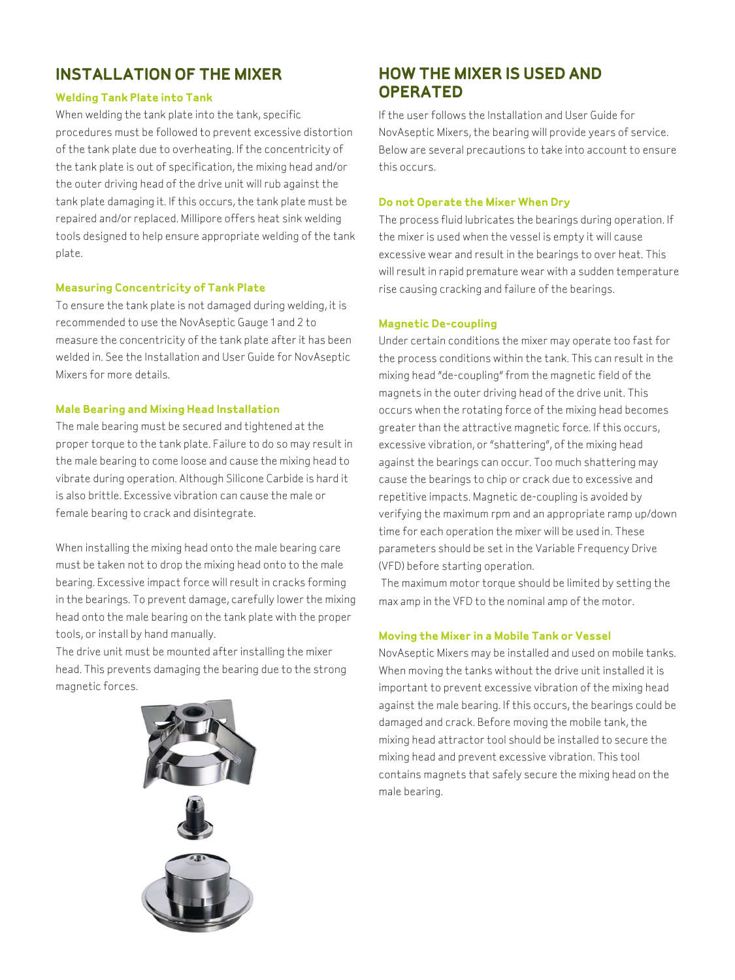# **Installation of the Mixer**

# **Welding Tank Plate into Tank**

When welding the tank plate into the tank, specific procedures must be followed to prevent excessive distortion of the tank plate due to overheating. If the concentricity of the tank plate is out of specification, the mixing head and/or the outer driving head of the drive unit will rub against the tank plate damaging it. If this occurs, the tank plate must be repaired and/or replaced. Millipore offers heat sink welding tools designed to help ensure appropriate welding of the tank plate.

# **Measuring Concentricity of Tank Plate**

To ensure the tank plate is not damaged during welding, it is recommended to use the NovAseptic Gauge 1 and 2 to measure the concentricity of the tank plate after it has been welded in. See the Installation and User Guide for NovAseptic Mixers for more details.

# **Male Bearing and Mixing Head Installation**

The male bearing must be secured and tightened at the proper torque to the tank plate. Failure to do so may result in the male bearing to come loose and cause the mixing head to vibrate during operation. Although Silicone Carbide is hard it is also brittle. Excessive vibration can cause the male or female bearing to crack and disintegrate.

When installing the mixing head onto the male bearing care must be taken not to drop the mixing head onto to the male bearing. Excessive impact force will result in cracks forming in the bearings. To prevent damage, carefully lower the mixing head onto the male bearing on the tank plate with the proper tools, or install by hand manually.

The drive unit must be mounted after installing the mixer head. This prevents damaging the bearing due to the strong magnetic forces.



# **How the Mixer is Used and Operated**

If the user follows the Installation and User Guide for NovAseptic Mixers, the bearing will provide years of service. Below are several precautions to take into account to ensure this occurs.

### **Do not Operate the Mixer When Dry**

The process fluid lubricates the bearings during operation. If the mixer is used when the vessel is empty it will cause excessive wear and result in the bearings to over heat. This will result in rapid premature wear with a sudden temperature rise causing cracking and failure of the bearings.

### **Magnetic De-coupling**

Under certain conditions the mixer may operate too fast for the process conditions within the tank. This can result in the mixing head "de-coupling" from the magnetic field of the magnets in the outer driving head of the drive unit. This occurs when the rotating force of the mixing head becomes greater than the attractive magnetic force. If this occurs, excessive vibration, or "shattering", of the mixing head against the bearings can occur. Too much shattering may cause the bearings to chip or crack due to excessive and repetitive impacts. Magnetic de-coupling is avoided by verifying the maximum rpm and an appropriate ramp up/down time for each operation the mixer will be used in. These parameters should be set in the Variable Frequency Drive (VFD) before starting operation.

 The maximum motor torque should be limited by setting the max amp in the VFD to the nominal amp of the motor.

# **Moving the Mixer in a Mobile Tank or Vessel**

NovAseptic Mixers may be installed and used on mobile tanks. When moving the tanks without the drive unit installed it is important to prevent excessive vibration of the mixing head against the male bearing. If this occurs, the bearings could be damaged and crack. Before moving the mobile tank, the mixing head attractor tool should be installed to secure the mixing head and prevent excessive vibration. This tool contains magnets that safely secure the mixing head on the male bearing.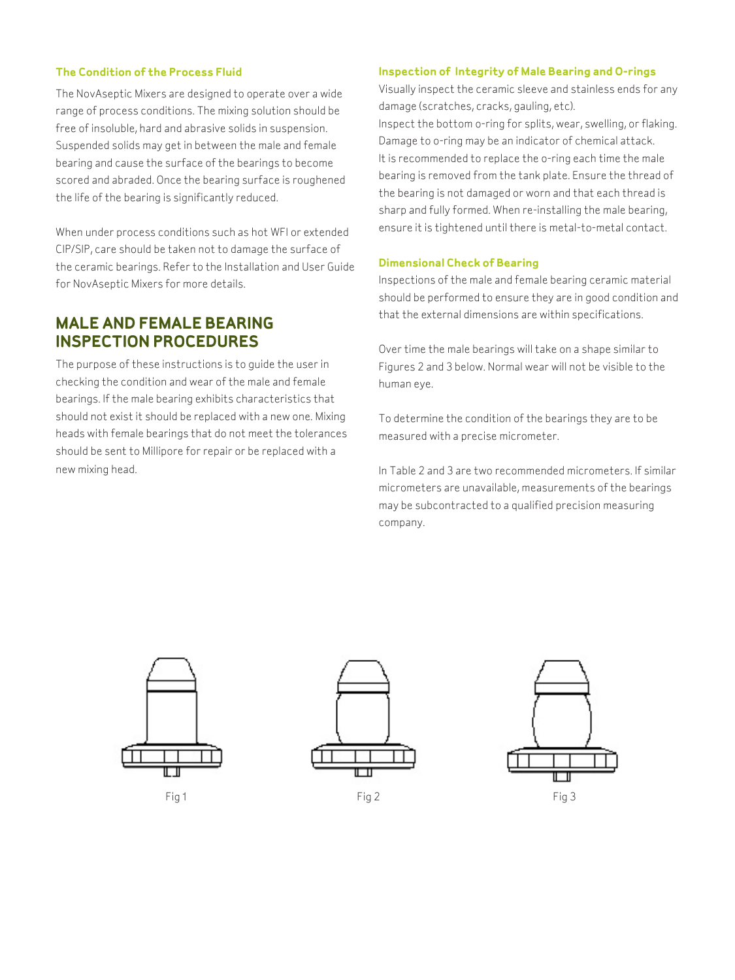#### **The Condition of the Process Fluid**

The NovAseptic Mixers are designed to operate over a wide range of process conditions. The mixing solution should be free of insoluble, hard and abrasive solids in suspension. Suspended solids may get in between the male and female bearing and cause the surface of the bearings to become scored and abraded. Once the bearing surface is roughened the life of the bearing is significantly reduced.

When under process conditions such as hot WFI or extended CIP/SIP, care should be taken not to damage the surface of the ceramic bearings. Refer to the Installation and User Guide for NovAseptic Mixers for more details.

# **Male and Female Bearing Inspection Procedures**

The purpose of these instructions is to guide the user in checking the condition and wear of the male and female bearings. If the male bearing exhibits characteristics that should not exist it should be replaced with a new one. Mixing heads with female bearings that do not meet the tolerances should be sent to Millipore for repair or be replaced with a new mixing head.

#### **Inspection of Integrity of Male Bearing and O-rings**

Visually inspect the ceramic sleeve and stainless ends for any damage (scratches, cracks, gauling, etc).

Inspect the bottom o-ring for splits, wear, swelling, or flaking. Damage to o-ring may be an indicator of chemical attack. It is recommended to replace the o-ring each time the male bearing is removed from the tank plate. Ensure the thread of the bearing is not damaged or worn and that each thread is sharp and fully formed. When re-installing the male bearing, ensure it is tightened until there is metal-to-metal contact.

#### **Dimensional Check of Bearing**

Inspections of the male and female bearing ceramic material should be performed to ensure they are in good condition and that the external dimensions are within specifications.

Over time the male bearings will take on a shape similar to Figures 2 and 3 below. Normal wear will not be visible to the human eye.

To determine the condition of the bearings they are to be measured with a precise micrometer.

In Table 2 and 3 are two recommended micrometers. If similar micrometers are unavailable, measurements of the bearings may be subcontracted to a qualified precision measuring company.





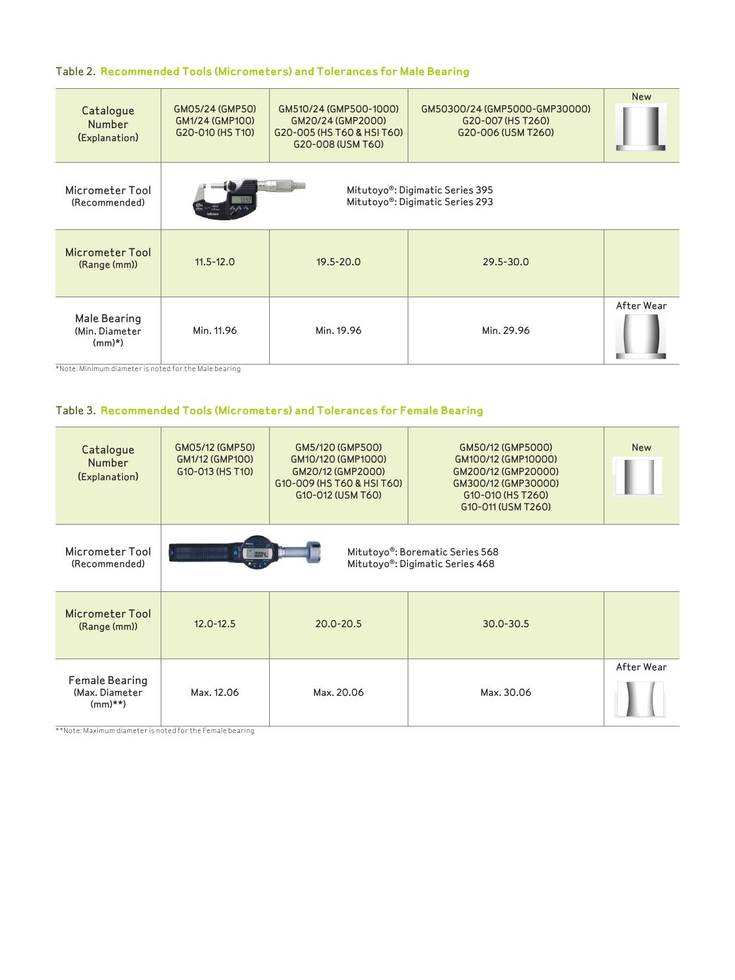# Table 2. **Recommended Tools (Micrometers) and Tolerances for Male Bearing**

| Catalogue<br><b>Number</b><br>(Explanation) | GM05/24 (GMP50)<br>GM1/24 (GMP100)<br>G20-010 (HS T10)                                            | GM510/24 (GMP500-1000)<br>GM20/24 (GMP2000)<br>G20-005 (HS T60 & HSI T60)<br>G20-008 (USM T60) | GM50300/24 (GMP5000-GMP30000)<br>G20-007 (HS T260)<br>G20-006 (USM T260) | <b>New</b> |  |
|---------------------------------------------|---------------------------------------------------------------------------------------------------|------------------------------------------------------------------------------------------------|--------------------------------------------------------------------------|------------|--|
| Micrometer Tool<br>(Recommended)            | Mitutoyo®: Digimatic Series 395<br>Mitutoyo®: Digimatic Series 293<br>$n_{\text{attime}}$<br>16/6 |                                                                                                |                                                                          |            |  |
| Micrometer Tool<br>(Range (mm))             | $11.5 - 12.0$                                                                                     | $19.5 - 20.0$                                                                                  | $29.5 - 30.0$                                                            |            |  |
| Male Bearing<br>(Min. Diameter<br>$(mm)*$   | Min. 11.96                                                                                        | Min. 19.96                                                                                     | Min. 29.96                                                               | After Wear |  |

\*Note: Minimum diameter is noted for the Male bearing

# Table 3. **Recommended Tools (Micrometers) and Tolerances for Female Bearing**

| Catalogue<br><b>Number</b><br>(Explanation)         | GM05/12 (GMP50)<br>GM1/12 (GMP100)<br>G10-013 (HS T10)                            | GM5/120 (GMP500)<br>GM10/120 (GMP1000)<br>GM20/12 (GMP2000)<br>G10-009 (HS T60 & HSI T60)<br>G10-012 (USM T60) | GM50/12 (GMP5000)<br>GM100/12 (GMP10000)<br>GM200/12 (GMP20000)<br>GM300/12 (GMP30000)<br>G10-010 (HS T260)<br>G10-011 (USM T260) | <b>New</b> |  |
|-----------------------------------------------------|-----------------------------------------------------------------------------------|----------------------------------------------------------------------------------------------------------------|-----------------------------------------------------------------------------------------------------------------------------------|------------|--|
| Micrometer Tool<br>(Recommended)                    | Mitutoyo®: Borematic Series 568<br><b>BOOY</b><br>Mitutoyo®: Digimatic Series 468 |                                                                                                                |                                                                                                                                   |            |  |
| Micrometer Tool<br>(Range (mm))                     | $12.0 - 12.5$                                                                     | $20.0 - 20.5$                                                                                                  | $30.0 - 30.5$                                                                                                                     |            |  |
| <b>Female Bearing</b><br>(Max. Diameter<br>$(mm)**$ | Max. 12.06                                                                        | Max. 20.06                                                                                                     | Max. 30.06                                                                                                                        | After Wear |  |

\*\*Note: Maximum diameter is noted for the Female bearing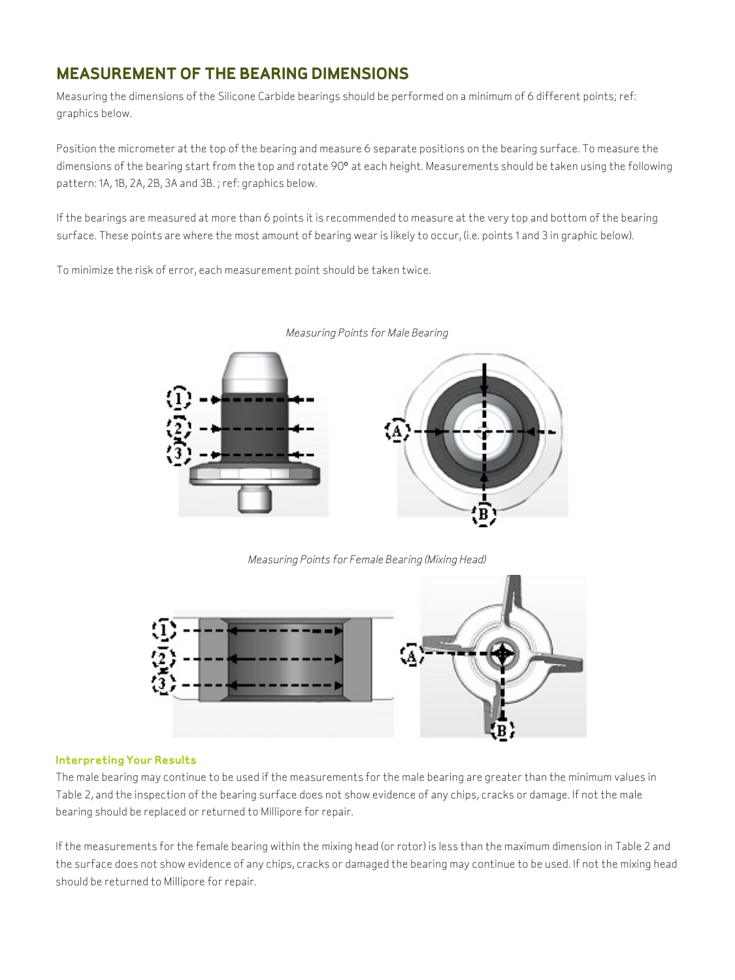# **Measurement of the Bearing Dimensions**

Measuring the dimensions of the Silicone Carbide bearings should be performed on a minimum of 6 different points; ref: graphics below.

Position the micrometer at the top of the bearing and measure 6 separate positions on the bearing surface. To measure the dimensions of the bearing start from the top and rotate 90° at each height. Measurements should be taken using the following pattern: 1A, 1B, 2A, 2B, 3A and 3B. ; ref: graphics below.

If the bearings are measured at more than 6 points it is recommended to measure at the very top and bottom of the bearing surface. These points are where the most amount of bearing wear is likely to occur, (i.e. points 1 and 3 in graphic below).

To minimize the risk of error, each measurement point should be taken twice.



*Measuring Points for Male Bearing*

*Measuring Points for Female Bearing (Mixing Head)*



### **Interpreting Your Results**

The male bearing may continue to be used if the measurements for the male bearing are greater than the minimum values in Table 2, and the inspection of the bearing surface does not show evidence of any chips, cracks or damage. If not the male bearing should be replaced or returned to Millipore for repair.

If the measurements for the female bearing within the mixing head (or rotor) is less than the maximum dimension in Table 2 and the surface does not show evidence of any chips, cracks or damaged the bearing may continue to be used. If not the mixing head should be returned to Millipore for repair.